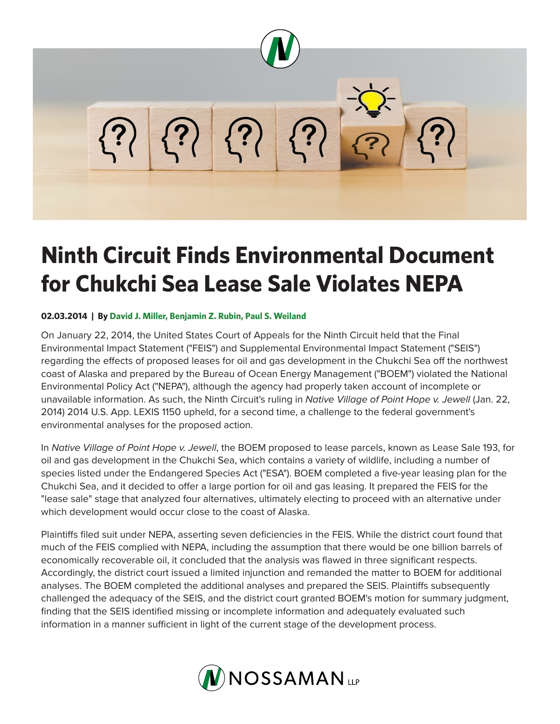

## **Ninth Circuit Finds Environmental Document for Chukchi Sea Lease Sale Violates NEPA**

## **02.03.2014 | By David J. Miller, Benjamin Z. Rubin, Paul S. Weiland**

On January 22, 2014, the United States Court of Appeals for the Ninth Circuit held that the Final Environmental Impact Statement ("FEIS") and Supplemental Environmental Impact Statement ("SEIS") regarding the effects of proposed leases for oil and gas development in the Chukchi Sea off the northwest coast of Alaska and prepared by the Bureau of Ocean Energy Management ("BOEM") violated the National Environmental Policy Act ("NEPA"), although the agency had properly taken account of incomplete or unavailable information. As such, the Ninth Circuit's ruling in *Native Village of Point Hope v. Jewell* (Jan. 22, 2014) 2014 U.S. App. LEXIS 1150 upheld, for a second time, a challenge to the federal government's environmental analyses for the proposed action.

In *Native Village of Point Hope v. Jewell*, the BOEM proposed to lease parcels, known as Lease Sale 193, for oil and gas development in the Chukchi Sea, which contains a variety of wildlife, including a number of species listed under the Endangered Species Act ("ESA"). BOEM completed a five-year leasing plan for the Chukchi Sea, and it decided to offer a large portion for oil and gas leasing. It prepared the FEIS for the "lease sale" stage that analyzed four alternatives, ultimately electing to proceed with an alternative under which development would occur close to the coast of Alaska.

Plaintiffs filed suit under NEPA, asserting seven deficiencies in the FEIS. While the district court found that much of the FEIS complied with NEPA, including the assumption that there would be one billion barrels of economically recoverable oil, it concluded that the analysis was flawed in three significant respects. Accordingly, the district court issued a limited injunction and remanded the matter to BOEM for additional analyses. The BOEM completed the additional analyses and prepared the SEIS. Plaintiffs subsequently challenged the adequacy of the SEIS, and the district court granted BOEM's motion for summary judgment, finding that the SEIS identified missing or incomplete information and adequately evaluated such information in a manner sufficient in light of the current stage of the development process.